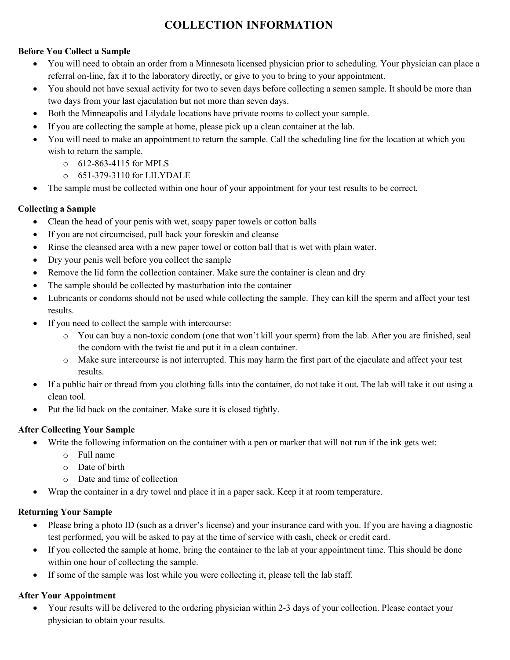# **COLLECTION INFORMATION**

#### **Before You Collect a Sample**

- You will need to obtain an order from a Minnesota licensed physician prior to scheduling. Your physician can place a referral on-line, fax it to the laboratory directly, or give to you to bring to your appointment.
- You should not have sexual activity for two to seven days before collecting a semen sample. It should be more than two days from your last ejaculation but not more than seven days.
- Both the Minneapolis and Lilydale locations have private rooms to collect your sample.
- If you are collecting the sample at home, please pick up a clean container at the lab.
- You will need to make an appointment to return the sample. Call the scheduling line for the location at which you wish to return the sample.
	- o 612-863-4115 for MPLS
	- o 651-379-3110 for LILYDALE
- The sample must be collected within one hour of your appointment for your test results to be correct.

## **Collecting a Sample**

- Clean the head of your penis with wet, soapy paper towels or cotton balls
- If you are not circumcised, pull back your foreskin and cleanse
- Rinse the cleansed area with a new paper towel or cotton ball that is wet with plain water.
- Dry your penis well before you collect the sample
- Remove the lid form the collection container. Make sure the container is clean and dry
- The sample should be collected by masturbation into the container
- Lubricants or condoms should not be used while collecting the sample. They can kill the sperm and affect your test results.
- If you need to collect the sample with intercourse:
	- o You can buy a non-toxic condom (one that won't kill your sperm) from the lab. After you are finished, seal the condom with the twist tie and put it in a clean container.
	- o Make sure intercourse is not interrupted. This may harm the first part of the ejaculate and affect your test results.
- If a public hair or thread from you clothing falls into the container, do not take it out. The lab will take it out using a clean tool.
- Put the lid back on the container. Make sure it is closed tightly.

# **After Collecting Your Sample**

- Write the following information on the container with a pen or marker that will not run if the ink gets wet:
	- o Full name
	- o Date of birth
	- o Date and time of collection
- Wrap the container in a dry towel and place it in a paper sack. Keep it at room temperature.

### **Returning Your Sample**

- Please bring a photo ID (such as a driver's license) and your insurance card with you. If you are having a diagnostic test performed, you will be asked to pay at the time of service with cash, check or credit card.
- If you collected the sample at home, bring the container to the lab at your appointment time. This should be done within one hour of collecting the sample.
- If some of the sample was lost while you were collecting it, please tell the lab staff.

# **After Your Appointment**

• Your results will be delivered to the ordering physician within 2-3 days of your collection. Please contact your physician to obtain your results.